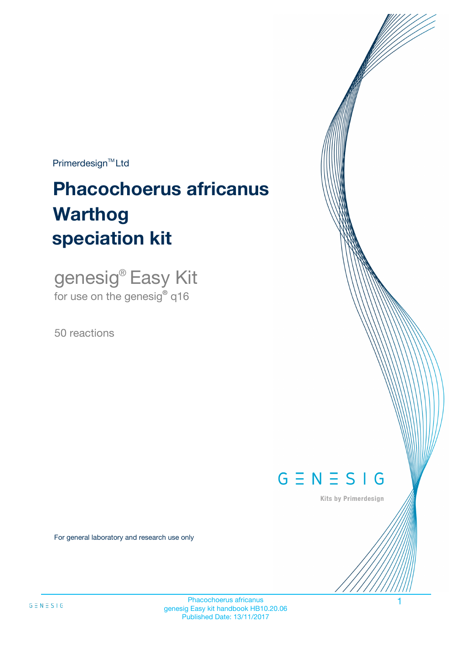$Primerdesign^{\text{TM}}Ltd$ 

# **Phacochoerus africanus speciation kit Warthog**

genesig® Easy Kit for use on the genesig**®** q16

50 reactions



Kits by Primerdesign

For general laboratory and research use only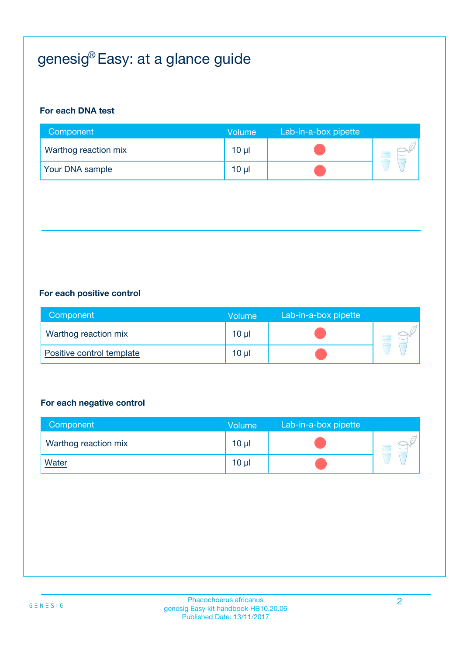# genesig® Easy: at a glance guide

#### **For each DNA test**

| Component            | Volume          | Lab-in-a-box pipette |  |
|----------------------|-----------------|----------------------|--|
| Warthog reaction mix | $10 \mu$        |                      |  |
| Your DNA sample      | 10 <sub>µ</sub> |                      |  |

#### **For each positive control**

| Component                 | Volume          | Lab-in-a-box pipette |  |
|---------------------------|-----------------|----------------------|--|
| Warthog reaction mix      | 10 <sub>µ</sub> |                      |  |
| Positive control template | 10 <sub>µ</sub> |                      |  |

#### **For each negative control**

| Component            | <b>Volume</b>   | Lab-in-a-box pipette |  |
|----------------------|-----------------|----------------------|--|
| Warthog reaction mix | $10 \mu$        |                      |  |
| <b>Water</b>         | 10 <sub>µ</sub> |                      |  |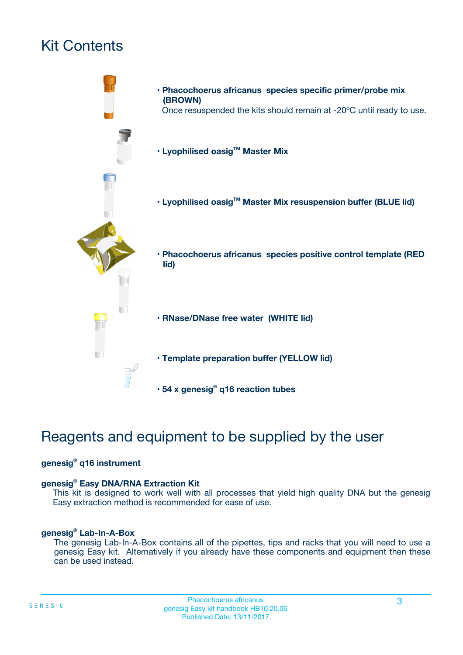# Kit Contents



# Reagents and equipment to be supplied by the user

#### **genesig® q16 instrument**

#### **genesig® Easy DNA/RNA Extraction Kit**

This kit is designed to work well with all processes that yield high quality DNA but the genesig Easy extraction method is recommended for ease of use.

#### **genesig® Lab-In-A-Box**

The genesig Lab-In-A-Box contains all of the pipettes, tips and racks that you will need to use a genesig Easy kit. Alternatively if you already have these components and equipment then these can be used instead.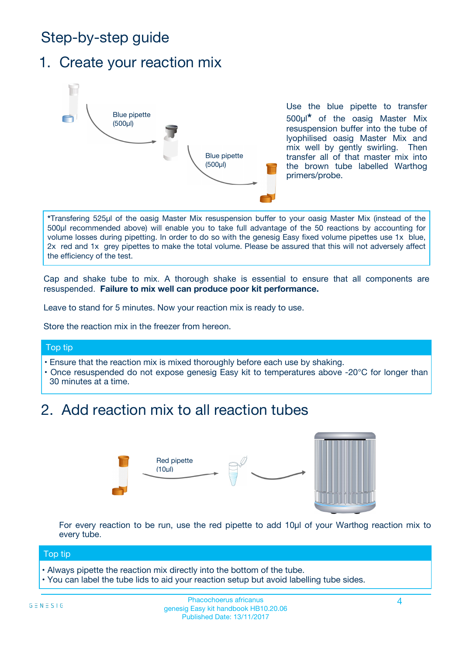# Step-by-step guide

### 1. Create your reaction mix



Use the blue pipette to transfer 500µl**\*** of the oasig Master Mix resuspension buffer into the tube of lyophilised oasig Master Mix and mix well by gently swirling. Then transfer all of that master mix into the brown tube labelled Warthog primers/probe.

**\***Transfering 525µl of the oasig Master Mix resuspension buffer to your oasig Master Mix (instead of the 500µl recommended above) will enable you to take full advantage of the 50 reactions by accounting for volume losses during pipetting. In order to do so with the genesig Easy fixed volume pipettes use 1x blue, 2x red and 1x grey pipettes to make the total volume. Please be assured that this will not adversely affect the efficiency of the test.

Cap and shake tube to mix. A thorough shake is essential to ensure that all components are resuspended. **Failure to mix well can produce poor kit performance.**

Leave to stand for 5 minutes. Now your reaction mix is ready to use.

Store the reaction mix in the freezer from hereon.

#### Top tip

- Ensure that the reaction mix is mixed thoroughly before each use by shaking.
- **•** Once resuspended do not expose genesig Easy kit to temperatures above -20°C for longer than 30 minutes at a time.

### 2. Add reaction mix to all reaction tubes



For every reaction to be run, use the red pipette to add 10µl of your Warthog reaction mix to every tube.

#### Top tip

- Always pipette the reaction mix directly into the bottom of the tube.
- You can label the tube lids to aid your reaction setup but avoid labelling tube sides.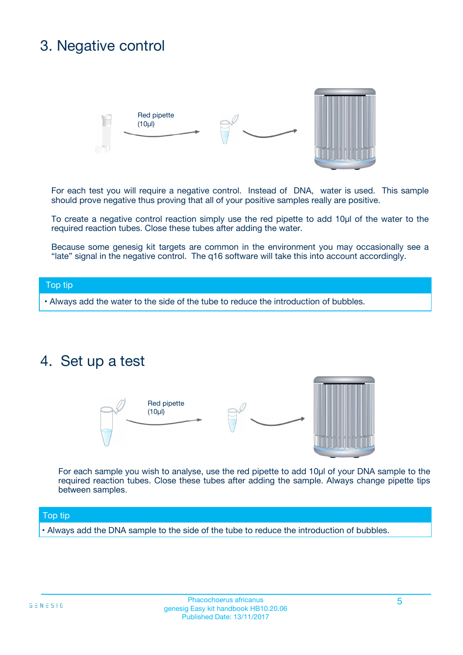## 3. Negative control



For each test you will require a negative control. Instead of DNA, water is used. This sample should prove negative thus proving that all of your positive samples really are positive.

To create a negative control reaction simply use the red pipette to add 10µl of the water to the required reaction tubes. Close these tubes after adding the water.

Because some genesig kit targets are common in the environment you may occasionally see a "late" signal in the negative control. The q16 software will take this into account accordingly.

#### Top tip

**•** Always add the water to the side of the tube to reduce the introduction of bubbles.

### 4. Set up a test



For each sample you wish to analyse, use the red pipette to add 10µl of your DNA sample to the required reaction tubes. Close these tubes after adding the sample. Always change pipette tips between samples.

#### Top tip

**•** Always add the DNA sample to the side of the tube to reduce the introduction of bubbles.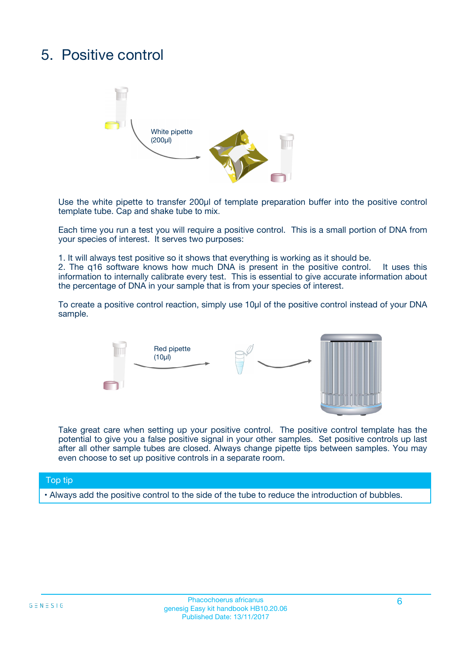# 5. Positive control



Use the white pipette to transfer 200µl of template preparation buffer into the positive control template tube. Cap and shake tube to mix.

Each time you run a test you will require a positive control. This is a small portion of DNA from your species of interest. It serves two purposes:

1. It will always test positive so it shows that everything is working as it should be.

2. The q16 software knows how much DNA is present in the positive control. It uses this information to internally calibrate every test. This is essential to give accurate information about the percentage of DNA in your sample that is from your species of interest.

To create a positive control reaction, simply use 10µl of the positive control instead of your DNA sample.



Take great care when setting up your positive control. The positive control template has the potential to give you a false positive signal in your other samples. Set positive controls up last after all other sample tubes are closed. Always change pipette tips between samples. You may even choose to set up positive controls in a separate room.

#### Top tip

**•** Always add the positive control to the side of the tube to reduce the introduction of bubbles.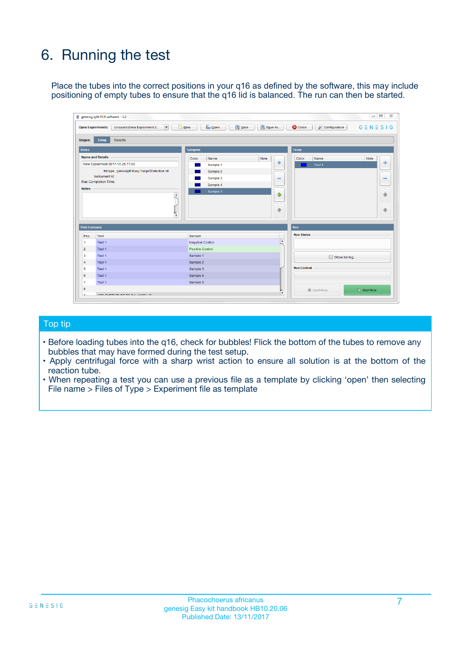# 6. Running the test

Place the tubes into the correct positions in your q16 as defined by the software, this may include positioning of empty tubes to ensure that the q16 lid is balanced. The run can then be started.

|                                    | genesig q16 PCR software - 1.2                                                    |                                     |                              |                                   | $\Box$<br>$\Sigma$           |
|------------------------------------|-----------------------------------------------------------------------------------|-------------------------------------|------------------------------|-----------------------------------|------------------------------|
|                                    | <b>Open Experiments:</b><br>Unsaved (New Experiment 2<br>$\overline{\phantom{a}}$ | <b>E</b> Open<br>Save<br>$\Box$ New | Save As                      | <b>C</b> Close<br>& Configuration | $G \equiv N \equiv S \mid G$ |
| Stages:                            | Setup<br><b>Results</b>                                                           |                                     |                              |                                   |                              |
| <b>Notes</b>                       |                                                                                   | <b>Samples</b>                      |                              | <b>Tests</b>                      |                              |
|                                    | <b>Name and Details</b>                                                           | Color<br>Name                       | Note                         | Color<br>Name                     | Note                         |
|                                    | New Experiment 2017-10-26 11:06                                                   | Sample 1                            | 유                            | Test <sub>1</sub>                 | ÷                            |
|                                    | Kit type: genesig® Easy Target Detection kit                                      | Sample 2                            |                              |                                   |                              |
|                                    | Instrument Id.:                                                                   | Sample 3                            | $\qquad \qquad \blacksquare$ |                                   | $\qquad \qquad \blacksquare$ |
|                                    | <b>Run Completion Time:</b>                                                       | Sample 4                            |                              |                                   |                              |
| <b>Notes</b>                       | $\blacktriangle$                                                                  | Sample 5                            | ♠<br>÷                       |                                   | 41<br>€                      |
| <b>Well Contents</b>               | $\overline{\mathbf{v}}$                                                           |                                     |                              | <b>Run</b>                        |                              |
| Pos.                               | <b>Test</b>                                                                       | Sample                              |                              | <b>Run Status</b>                 |                              |
| 1                                  | Test 1                                                                            | <b>Negative Control</b>             | $\blacktriangle$             |                                   |                              |
| $\overline{2}$                     | Test 1                                                                            | <b>Positive Control</b>             |                              |                                   |                              |
| 3                                  | Test 1                                                                            | Sample 1                            |                              | Show full log                     |                              |
|                                    | Test 1                                                                            | Sample 2                            |                              |                                   |                              |
|                                    |                                                                                   | Sample 3                            |                              | <b>Run Control</b>                |                              |
|                                    | Test 1                                                                            |                                     |                              |                                   |                              |
|                                    | Test 1                                                                            | Sample 4                            |                              |                                   |                              |
|                                    | Test 1                                                                            | Sample 5                            |                              |                                   |                              |
| 4<br>5<br>6<br>$\overline{7}$<br>8 |                                                                                   |                                     | $\overline{\mathbf{v}}$      | Abort Run                         | $\triangleright$ Start Run   |

#### Top tip

- Before loading tubes into the q16, check for bubbles! Flick the bottom of the tubes to remove any bubbles that may have formed during the test setup.
- Apply centrifugal force with a sharp wrist action to ensure all solution is at the bottom of the reaction tube.
- When repeating a test you can use a previous file as a template by clicking 'open' then selecting File name > Files of Type > Experiment file as template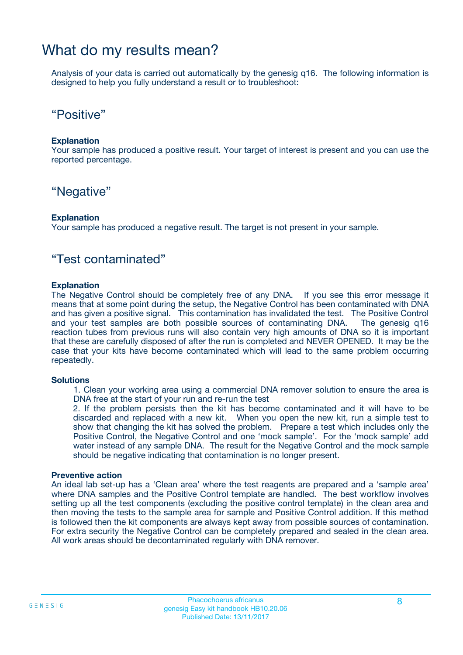### What do my results mean?

Analysis of your data is carried out automatically by the genesig q16. The following information is designed to help you fully understand a result or to troubleshoot:

### "Positive"

#### **Explanation**

Your sample has produced a positive result. Your target of interest is present and you can use the reported percentage.

### "Negative"

#### **Explanation**

Your sample has produced a negative result. The target is not present in your sample.

### "Test contaminated"

#### **Explanation**

The Negative Control should be completely free of any DNA. If you see this error message it means that at some point during the setup, the Negative Control has been contaminated with DNA and has given a positive signal. This contamination has invalidated the test. The Positive Control and your test samples are both possible sources of contaminating DNA. The genesig q16 reaction tubes from previous runs will also contain very high amounts of DNA so it is important that these are carefully disposed of after the run is completed and NEVER OPENED. It may be the case that your kits have become contaminated which will lead to the same problem occurring repeatedly.

#### **Solutions**

1. Clean your working area using a commercial DNA remover solution to ensure the area is DNA free at the start of your run and re-run the test

2. If the problem persists then the kit has become contaminated and it will have to be discarded and replaced with a new kit. When you open the new kit, run a simple test to show that changing the kit has solved the problem. Prepare a test which includes only the Positive Control, the Negative Control and one 'mock sample'. For the 'mock sample' add water instead of any sample DNA. The result for the Negative Control and the mock sample should be negative indicating that contamination is no longer present.

#### **Preventive action**

An ideal lab set-up has a 'Clean area' where the test reagents are prepared and a 'sample area' where DNA samples and the Positive Control template are handled. The best workflow involves setting up all the test components (excluding the positive control template) in the clean area and then moving the tests to the sample area for sample and Positive Control addition. If this method is followed then the kit components are always kept away from possible sources of contamination. For extra security the Negative Control can be completely prepared and sealed in the clean area. All work areas should be decontaminated regularly with DNA remover.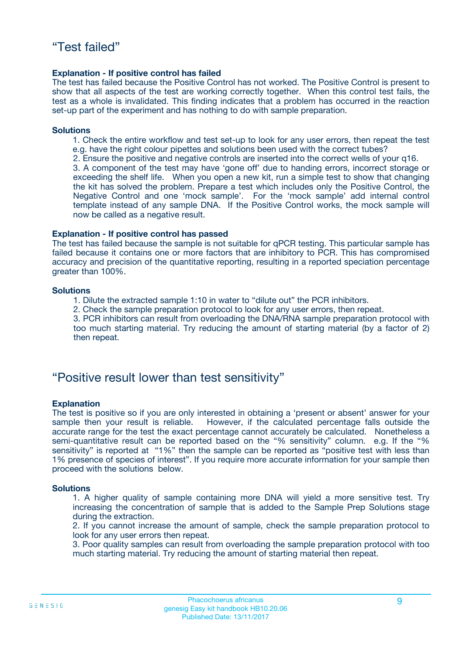#### **Explanation - If positive control has failed**

The test has failed because the Positive Control has not worked. The Positive Control is present to show that all aspects of the test are working correctly together. When this control test fails, the test as a whole is invalidated. This finding indicates that a problem has occurred in the reaction set-up part of the experiment and has nothing to do with sample preparation.

#### **Solutions**

- 1. Check the entire workflow and test set-up to look for any user errors, then repeat the test e.g. have the right colour pipettes and solutions been used with the correct tubes?
- 2. Ensure the positive and negative controls are inserted into the correct wells of your q16.

3. A component of the test may have 'gone off' due to handing errors, incorrect storage or exceeding the shelf life. When you open a new kit, run a simple test to show that changing the kit has solved the problem. Prepare a test which includes only the Positive Control, the Negative Control and one 'mock sample'. For the 'mock sample' add internal control template instead of any sample DNA. If the Positive Control works, the mock sample will now be called as a negative result.

#### **Explanation - If positive control has passed**

The test has failed because the sample is not suitable for qPCR testing. This particular sample has failed because it contains one or more factors that are inhibitory to PCR. This has compromised accuracy and precision of the quantitative reporting, resulting in a reported speciation percentage greater than 100%.

#### **Solutions**

- 1. Dilute the extracted sample 1:10 in water to "dilute out" the PCR inhibitors.
- 2. Check the sample preparation protocol to look for any user errors, then repeat.

3. PCR inhibitors can result from overloading the DNA/RNA sample preparation protocol with too much starting material. Try reducing the amount of starting material (by a factor of 2) then repeat.

### "Positive result lower than test sensitivity"

#### **Explanation**

The test is positive so if you are only interested in obtaining a 'present or absent' answer for your sample then your result is reliable. However, if the calculated percentage falls outside the accurate range for the test the exact percentage cannot accurately be calculated. Nonetheless a semi-quantitative result can be reported based on the "% sensitivity" column. e.g. If the "% sensitivity" is reported at "1%" then the sample can be reported as "positive test with less than 1% presence of species of interest". If you require more accurate information for your sample then proceed with the solutions below.

#### **Solutions**

1. A higher quality of sample containing more DNA will yield a more sensitive test. Try increasing the concentration of sample that is added to the Sample Prep Solutions stage during the extraction.

2. If you cannot increase the amount of sample, check the sample preparation protocol to look for any user errors then repeat.

3. Poor quality samples can result from overloading the sample preparation protocol with too much starting material. Try reducing the amount of starting material then repeat.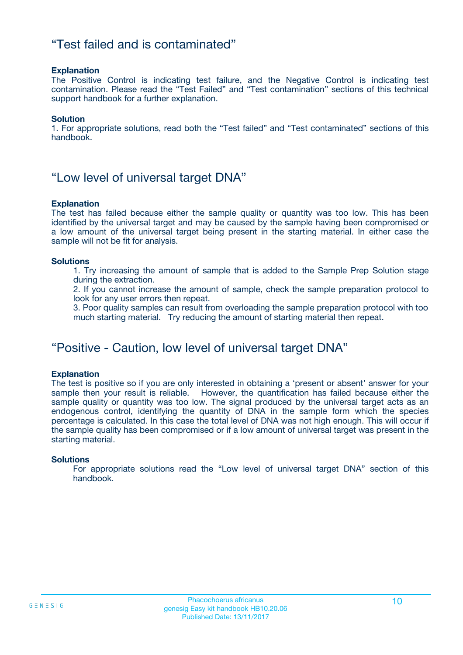### "Test failed and is contaminated"

#### **Explanation**

The Positive Control is indicating test failure, and the Negative Control is indicating test contamination. Please read the "Test Failed" and "Test contamination" sections of this technical support handbook for a further explanation.

#### **Solution**

1. For appropriate solutions, read both the "Test failed" and "Test contaminated" sections of this handbook.

### "Low level of universal target DNA"

#### **Explanation**

The test has failed because either the sample quality or quantity was too low. This has been identified by the universal target and may be caused by the sample having been compromised or a low amount of the universal target being present in the starting material. In either case the sample will not be fit for analysis.

#### **Solutions**

1. Try increasing the amount of sample that is added to the Sample Prep Solution stage during the extraction.

2. If you cannot increase the amount of sample, check the sample preparation protocol to look for any user errors then repeat.

3. Poor quality samples can result from overloading the sample preparation protocol with too much starting material. Try reducing the amount of starting material then repeat.

### "Positive - Caution, low level of universal target DNA"

#### **Explanation**

The test is positive so if you are only interested in obtaining a 'present or absent' answer for your sample then your result is reliable. However, the quantification has failed because either the sample quality or quantity was too low. The signal produced by the universal target acts as an endogenous control, identifying the quantity of DNA in the sample form which the species percentage is calculated. In this case the total level of DNA was not high enough. This will occur if the sample quality has been compromised or if a low amount of universal target was present in the starting material.

#### **Solutions**

For appropriate solutions read the "Low level of universal target DNA" section of this handbook.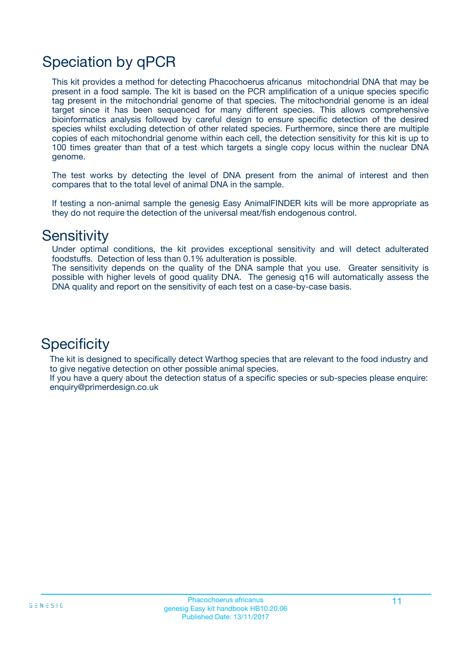# Speciation by qPCR

This kit provides a method for detecting Phacochoerus africanus mitochondrial DNA that may be present in a food sample. The kit is based on the PCR amplification of a unique species specific tag present in the mitochondrial genome of that species. The mitochondrial genome is an ideal target since it has been sequenced for many different species. This allows comprehensive bioinformatics analysis followed by careful design to ensure specific detection of the desired species whilst excluding detection of other related species. Furthermore, since there are multiple copies of each mitochondrial genome within each cell, the detection sensitivity for this kit is up to 100 times greater than that of a test which targets a single copy locus within the nuclear DNA genome.

The test works by detecting the level of DNA present from the animal of interest and then compares that to the total level of animal DNA in the sample.

If testing a non-animal sample the genesig Easy AnimalFINDER kits will be more appropriate as they do not require the detection of the universal meat/fish endogenous control.

### **Sensitivity**

Under optimal conditions, the kit provides exceptional sensitivity and will detect adulterated foodstuffs. Detection of less than 0.1% adulteration is possible.

The sensitivity depends on the quality of the DNA sample that you use. Greater sensitivity is possible with higher levels of good quality DNA. The genesig q16 will automatically assess the DNA quality and report on the sensitivity of each test on a case-by-case basis.

### **Specificity**

The kit is designed to specifically detect Warthog species that are relevant to the food industry and to give negative detection on other possible animal species.

If you have a query about the detection status of a specific species or sub-species please enquire: enquiry@primerdesign.co.uk